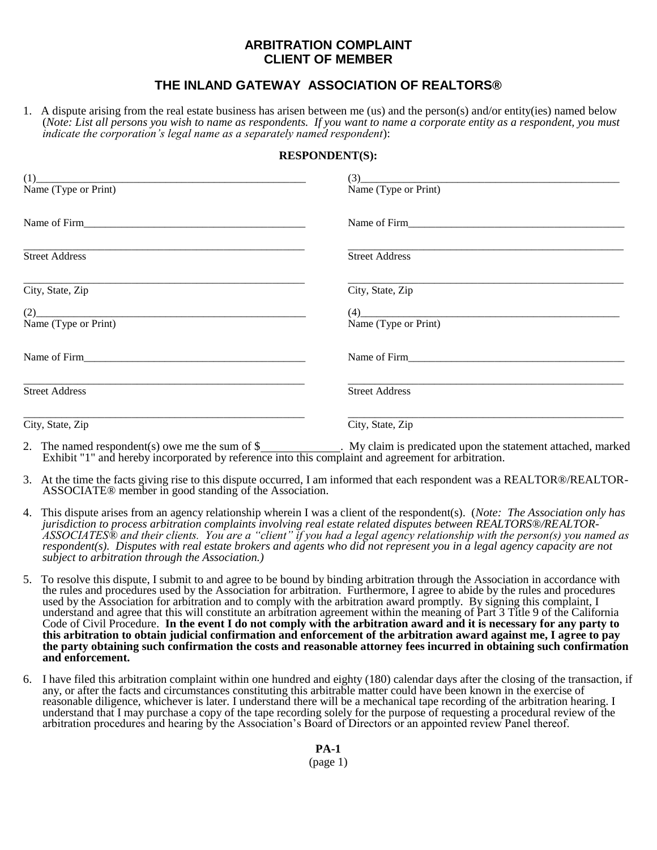## **ARBITRATION COMPLAINT CLIENT OF MEMBER**

## **THE INLAND GATEWAY ASSOCIATION OF REALTORS®**

1. A dispute arising from the real estate business has arisen between me (us) and the person(s) and/or entity(ies) named below (*Note: List all persons you wish to name as respondents. If you want to name a corporate entity as a respondent, you must indicate the corporation's legal name as a separately named respondent*):

## **RESPONDENT(S):**

| $(1)$<br>Name (Type or Print) | (3)<br>Name (Type or Print)   |
|-------------------------------|-------------------------------|
|                               | Name of Firm Name of Firm     |
| <b>Street Address</b>         | <b>Street Address</b>         |
| City, State, Zip              | City, State, Zip              |
| (2)<br>Name (Type or Print)   | $(4)$<br>Name (Type or Print) |
| Name of Firm Name of Firm     | Name of Firm                  |
| <b>Street Address</b>         | <b>Street Address</b>         |
| City, State, Zip              | City, State, Zip              |

- 2. The named respondent(s) owe me the sum of \$\_\_\_\_\_\_\_\_\_\_\_\_\_. My claim is predicated upon the statement attached, marked Exhibit "1" and hereby incorporated by reference into this complaint and agreement for arbitration.
- 3. At the time the facts giving rise to this dispute occurred, I am informed that each respondent was a REALTOR®/REALTOR-ASSOCIATE® member in good standing of the Association.
- 4. This dispute arises from an agency relationship wherein I was a client of the respondent(s). (*Note: The Association only has jurisdiction to process arbitration complaints involving real estate related disputes between REALTORS®/REALTOR-ASSOCIATES® and their clients. You are a "client" if you had a legal agency relationship with the person(s) you named as respondent(s). Disputes with real estate brokers and agents who did not represent you in a legal agency capacity are not subject to arbitration through the Association.)*
- 5. To resolve this dispute, I submit to and agree to be bound by binding arbitration through the Association in accordance with the rules and procedures used by the Association for arbitration. Furthermore, I agree to abide by the rules and procedures used by the Association for arbitration and to comply with the arbitration award promptly. By signing this complaint, I understand and agree that this will constitute an arbitration agreement within the meaning of Part 3 Title 9 of the California Code of Civil Procedure. **In the event I do not comply with the arbitration award and it is necessary for any party to this arbitration to obtain judicial confirmation and enforcement of the arbitration award against me, I agree to pay the party obtaining such confirmation the costs and reasonable attorney fees incurred in obtaining such confirmation and enforcement.**
- 6. I have filed this arbitration complaint within one hundred and eighty (180) calendar days after the closing of the transaction, if any, or after the facts and circumstances constituting this arbitrable matter could have been known in the exercise of reasonable diligence, whichever is later. I understand there will be a mechanical tape recording of the arbitration hearing. I understand that I may purchase a copy of the tape recording solely for the purpose of requesting a procedural review of the arbitration procedures and hearing by the Association's Board of Directors or an appointed review Panel thereof.

**PA-1**

(page 1)